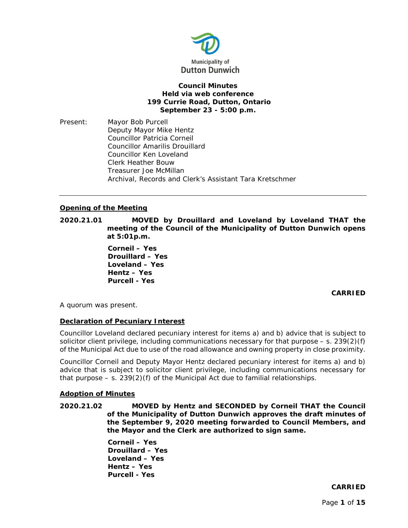

## **Council Minutes Held via web conference 199 Currie Road, Dutton, Ontario September 23 - 5:00 p.m.**

Present: Mayor Bob Purcell Deputy Mayor Mike Hentz Councillor Patricia Corneil Councillor Amarilis Drouillard Councillor Ken Loveland Clerk Heather Bouw Treasurer Joe McMillan Archival, Records and Clerk's Assistant Tara Kretschmer

## **Opening of the Meeting**

**2020.21.01 MOVED by Drouillard and Loveland by Loveland THAT the meeting of the Council of the Municipality of Dutton Dunwich opens at 5:01p.m.**

> **Corneil – Yes Drouillard – Yes Loveland – Yes Hentz – Yes Purcell - Yes**

# **CARRIED**

A quorum was present.

# **Declaration of Pecuniary Interest**

Councillor Loveland declared pecuniary interest for items a) and b) advice that is subject to solicitor client privilege, including communications necessary for that purpose  $-$  s. 239(2)(f) of the Municipal Act due to use of the road allowance and owning property in close proximity.

Councillor Corneil and Deputy Mayor Hentz declared pecuniary interest for items a) and b) advice that is subject to solicitor client privilege, including communications necessary for that purpose  $-$  s. 239(2)(f) of the Municipal Act due to familial relationships.

### **Adoption of Minutes**

**2020.21.02 MOVED by Hentz and SECONDED by Corneil THAT the Council of the Municipality of Dutton Dunwich approves the draft minutes of the September 9, 2020 meeting forwarded to Council Members, and the Mayor and the Clerk are authorized to sign same.**

> **Corneil – Yes Drouillard – Yes Loveland – Yes Hentz – Yes Purcell - Yes**

# **CARRIED**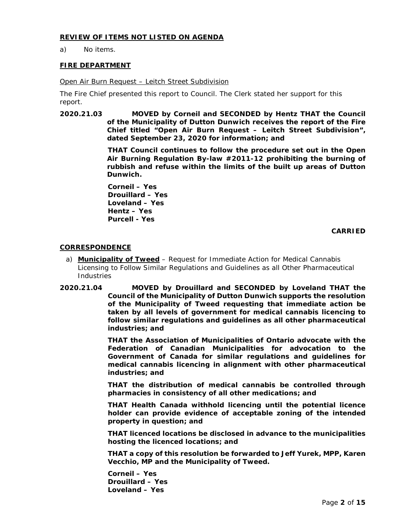## **REVIEW OF ITEMS NOT LISTED ON AGENDA**

a) No items.

## **FIRE DEPARTMENT**

### Open Air Burn Request – Leitch Street Subdivision

The Fire Chief presented this report to Council. The Clerk stated her support for this report.

**2020.21.03 MOVED by Corneil and SECONDED by Hentz THAT the Council of the Municipality of Dutton Dunwich receives the report of the Fire Chief titled "Open Air Burn Request – Leitch Street Subdivision", dated September 23, 2020 for information; and**

> **THAT Council continues to follow the procedure set out in the Open Air Burning Regulation By-law #2011-12 prohibiting the burning of rubbish and refuse within the limits of the built up areas of Dutton Dunwich.**

**Corneil – Yes Drouillard – Yes Loveland – Yes Hentz – Yes Purcell - Yes**

**CARRIED**

## **CORRESPONDENCE**

- a) **Municipality of Tweed** Request for Immediate Action for Medical Cannabis Licensing to Follow Similar Regulations and Guidelines as all Other Pharmaceutical Industries
- **2020.21.04 MOVED by Drouillard and SECONDED by Loveland THAT the Council of the Municipality of Dutton Dunwich supports the resolution of the Municipality of Tweed requesting that immediate action be taken by all levels of government for medical cannabis licencing to follow similar regulations and guidelines as all other pharmaceutical industries; and**

**THAT the Association of Municipalities of Ontario advocate with the Federation of Canadian Municipalities for advocation to the Government of Canada for similar regulations and guidelines for medical cannabis licencing in alignment with other pharmaceutical industries; and**

**THAT the distribution of medical cannabis be controlled through pharmacies in consistency of all other medications; and**

**THAT Health Canada withhold licencing until the potential licence holder can provide evidence of acceptable zoning of the intended property in question; and**

**THAT licenced locations be disclosed in advance to the municipalities hosting the licenced locations; and**

**THAT a copy of this resolution be forwarded to Jeff Yurek, MPP, Karen Vecchio, MP and the Municipality of Tweed.** 

**Corneil – Yes Drouillard – Yes Loveland – Yes**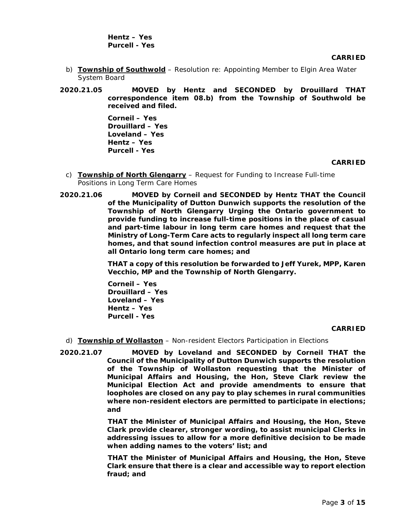**Hentz – Yes Purcell - Yes**

**CARRIED**

- b) **Township of Southwold** Resolution re: Appointing Member to Elgin Area Water System Board
- **2020.21.05 MOVED by Hentz and SECONDED by Drouillard THAT correspondence item 08.b) from the Township of Southwold be received and filed.**

**Corneil – Yes Drouillard – Yes Loveland – Yes Hentz – Yes Purcell - Yes**

#### **CARRIED**

- c) **Township of North Glengarry** Request for Funding to Increase Full-time Positions in Long Term Care Homes
- **2020.21.06 MOVED by Corneil and SECONDED by Hentz THAT the Council of the Municipality of Dutton Dunwich supports the resolution of the Township of North Glengarry Urging the Ontario government to provide funding to increase full-time positions in the place of casual and part-time labour in long term care homes and request that the Ministry of Long-Term Care acts to regularly inspect all long term care homes, and that sound infection control measures are put in place at all Ontario long term care homes; and**

**THAT a copy of this resolution be forwarded to Jeff Yurek, MPP, Karen Vecchio, MP and the Township of North Glengarry.**

**Corneil – Yes Drouillard – Yes Loveland – Yes Hentz – Yes Purcell - Yes**

### **CARRIED**

- d) **Township of Wollaston** Non-resident Electors Participation in Elections
- **2020.21.07 MOVED by Loveland and SECONDED by Corneil THAT the Council of the Municipality of Dutton Dunwich supports the resolution of the Township of Wollaston requesting that the Minister of Municipal Affairs and Housing, the Hon, Steve Clark review the**  *Municipal Election Act* **and provide amendments to ensure that loopholes are closed on any pay to play schemes in rural communities where non-resident electors are permitted to participate in elections; and**

**THAT the Minister of Municipal Affairs and Housing, the Hon, Steve Clark provide clearer, stronger wording, to assist municipal Clerks in addressing issues to allow for a more definitive decision to be made when adding names to the voters' list; and**

**THAT the Minister of Municipal Affairs and Housing, the Hon, Steve Clark ensure that there is a clear and accessible way to report election fraud; and**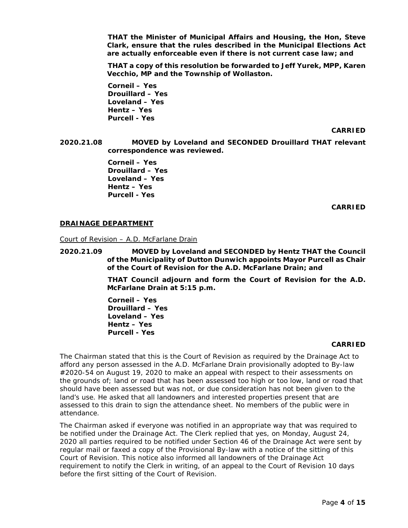**THAT the Minister of Municipal Affairs and Housing, the Hon, Steve Clark, ensure that the rules described in the** *Municipal Elections Act* **are actually enforceable even if there is not current case law; and**

**THAT a copy of this resolution be forwarded to Jeff Yurek, MPP, Karen Vecchio, MP and the Township of Wollaston.** 

**Corneil – Yes Drouillard – Yes Loveland – Yes Hentz – Yes Purcell - Yes**

**CARRIED**

**2020.21.08 MOVED by Loveland and SECONDED Drouillard THAT relevant correspondence was reviewed.**

> **Corneil – Yes Drouillard – Yes Loveland – Yes Hentz – Yes Purcell - Yes**

> > **CARRIED**

### **DRAINAGE DEPARTMENT**

Court of Revision – A.D. McFarlane Drain

**2020.21.09 MOVED by Loveland and SECONDED by Hentz THAT the Council of the Municipality of Dutton Dunwich appoints Mayor Purcell as Chair of the Court of Revision for the A.D. McFarlane Drain; and**

> **THAT Council adjourn and form the Court of Revision for the A.D. McFarlane Drain at 5:15 p.m.**

**Corneil – Yes Drouillard – Yes Loveland – Yes Hentz – Yes Purcell - Yes**

#### **CARRIED**

The Chairman stated that this is the Court of Revision as required by the Drainage Act to afford any person assessed in the A.D. McFarlane Drain provisionally adopted to By-law #2020-54 on August 19, 2020 to make an appeal with respect to their assessments on the grounds of; land or road that has been assessed too high or too low, land or road that should have been assessed but was not, or due consideration has not been given to the land's use. He asked that all landowners and interested properties present that are assessed to this drain to sign the attendance sheet. No members of the public were in attendance.

The Chairman asked if everyone was notified in an appropriate way that was required to be notified under the Drainage Act. The Clerk replied that yes, on Monday, August 24, 2020 all parties required to be notified under Section 46 of the Drainage Act were sent by regular mail or faxed a copy of the Provisional By-law with a notice of the sitting of this Court of Revision. This notice also informed all landowners of the Drainage Act requirement to notify the Clerk in writing, of an appeal to the Court of Revision 10 days before the first sitting of the Court of Revision.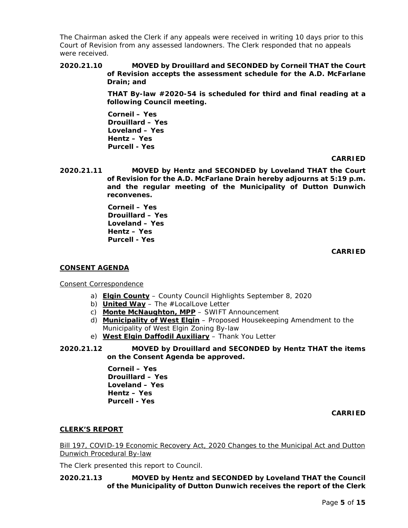The Chairman asked the Clerk if any appeals were received in writing 10 days prior to this Court of Revision from any assessed landowners. The Clerk responded that no appeals were received.

**2020.21.10 MOVED by Drouillard and SECONDED by Corneil THAT the Court of Revision accepts the assessment schedule for the A.D. McFarlane Drain; and**

> **THAT By-law #2020-54 is scheduled for third and final reading at a following Council meeting.**

**Corneil – Yes Drouillard – Yes Loveland – Yes Hentz – Yes Purcell - Yes**

**CARRIED**

**2020.21.11 MOVED by Hentz and SECONDED by Loveland THAT the Court of Revision for the A.D. McFarlane Drain hereby adjourns at 5:19 p.m. and the regular meeting of the Municipality of Dutton Dunwich reconvenes.** 

> **Corneil – Yes Drouillard – Yes Loveland – Yes Hentz – Yes Purcell - Yes**

> > **CARRIED**

### **CONSENT AGENDA**

### Consent Correspondence

- a) **Elgin County** County Council Highlights September 8, 2020
- b) **United Way** The #LocalLove Letter
- c) **Monte McNaughton, MPP** SWIFT Announcement
- d) **Municipality of West Elgin** Proposed Housekeeping Amendment to the Municipality of West Elgin Zoning By-law
- e) **West Elgin Daffodil Auxiliary** Thank You Letter
- **2020.21.12 MOVED by Drouillard and SECONDED by Hentz THAT the items on the Consent Agenda be approved.**

**Corneil – Yes Drouillard – Yes Loveland – Yes Hentz – Yes Purcell - Yes**

**CARRIED**

# **CLERK'S REPORT**

Bill 197, COVID-19 Economic Recovery Act, 2020 Changes to the Municipal Act and Dutton Dunwich Procedural By-law

The Clerk presented this report to Council.

# **2020.21.13 MOVED by Hentz and SECONDED by Loveland THAT the Council of the Municipality of Dutton Dunwich receives the report of the Clerk**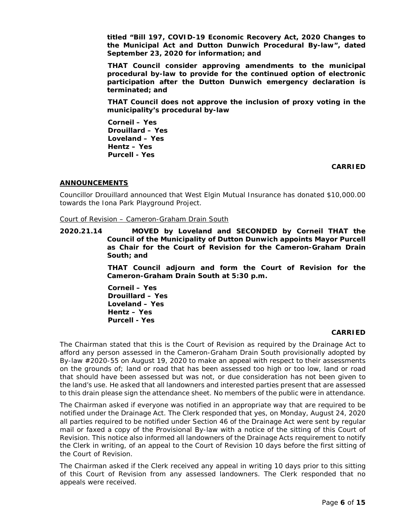**titled "Bill 197, COVID-19 Economic Recovery Act, 2020 Changes to the Municipal Act and Dutton Dunwich Procedural By-law", dated September 23, 2020 for information; and**

**THAT Council consider approving amendments to the municipal procedural by-law to provide for the continued option of electronic participation after the Dutton Dunwich emergency declaration is terminated; and**

**THAT Council does not approve the inclusion of proxy voting in the municipality's procedural by-law**

**Corneil – Yes Drouillard – Yes Loveland – Yes Hentz – Yes Purcell - Yes**

## **CARRIED**

## **ANNOUNCEMENTS**

Councillor Drouillard announced that West Elgin Mutual Insurance has donated \$10,000.00 towards the Iona Park Playground Project.

#### Court of Revision – Cameron-Graham Drain South

**2020.21.14 MOVED by Loveland and SECONDED by Corneil THAT the Council of the Municipality of Dutton Dunwich appoints Mayor Purcell as Chair for the Court of Revision for the Cameron-Graham Drain South; and**

> **THAT Council adjourn and form the Court of Revision for the Cameron-Graham Drain South at 5:30 p.m.**

**Corneil – Yes Drouillard – Yes Loveland – Yes Hentz – Yes Purcell - Yes**

#### **CARRIED**

The Chairman stated that this is the Court of Revision as required by the Drainage Act to afford any person assessed in the Cameron-Graham Drain South provisionally adopted by By-law #2020-55 on August 19, 2020 to make an appeal with respect to their assessments on the grounds of; land or road that has been assessed too high or too low, land or road that should have been assessed but was not, or due consideration has not been given to the land's use. He asked that all landowners and interested parties present that are assessed to this drain please sign the attendance sheet. No members of the public were in attendance.

The Chairman asked if everyone was notified in an appropriate way that are required to be notified under the Drainage Act. The Clerk responded that yes, on Monday, August 24, 2020 all parties required to be notified under Section 46 of the Drainage Act were sent by regular mail or faxed a copy of the Provisional By-law with a notice of the sitting of this Court of Revision. This notice also informed all landowners of the Drainage Acts requirement to notify the Clerk in writing, of an appeal to the Court of Revision 10 days before the first sitting of the Court of Revision.

The Chairman asked if the Clerk received any appeal in writing 10 days prior to this sitting of this Court of Revision from any assessed landowners. The Clerk responded that no appeals were received.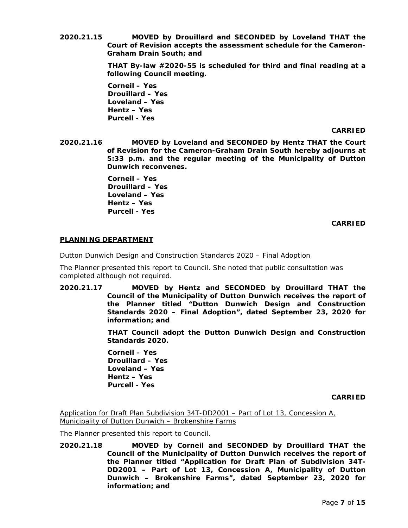**2020.21.15 MOVED by Drouillard and SECONDED by Loveland THAT the Court of Revision accepts the assessment schedule for the Cameron-Graham Drain South; and**

> **THAT By-law #2020-55 is scheduled for third and final reading at a following Council meeting.**

**Corneil – Yes Drouillard – Yes Loveland – Yes Hentz – Yes Purcell - Yes**

### **CARRIED**

**2020.21.16 MOVED by Loveland and SECONDED by Hentz THAT the Court of Revision for the Cameron-Graham Drain South hereby adjourns at 5:33 p.m. and the regular meeting of the Municipality of Dutton Dunwich reconvenes.** 

> **Corneil – Yes Drouillard – Yes Loveland – Yes Hentz – Yes Purcell - Yes**

> > **CARRIED**

# **PLANNING DEPARTMENT**

Dutton Dunwich Design and Construction Standards 2020 – Final Adoption

The Planner presented this report to Council. She noted that public consultation was completed although not required.

**2020.21.17 MOVED by Hentz and SECONDED by Drouillard THAT the Council of the Municipality of Dutton Dunwich receives the report of the Planner titled "Dutton Dunwich Design and Construction Standards 2020 – Final Adoption", dated September 23, 2020 for information; and**

> **THAT Council adopt the Dutton Dunwich Design and Construction Standards 2020.**

**Corneil – Yes Drouillard – Yes Loveland – Yes Hentz – Yes Purcell - Yes**

**CARRIED**

Application for Draft Plan Subdivision 34T-DD2001 – Part of Lot 13, Concession A, Municipality of Dutton Dunwich - Brokenshire Farms

The Planner presented this report to Council.

**2020.21.18 MOVED by Corneil and SECONDED by Drouillard THAT the Council of the Municipality of Dutton Dunwich receives the report of the Planner titled "Application for Draft Plan of Subdivision 34T-DD2001 – Part of Lot 13, Concession A, Municipality of Dutton Dunwich – Brokenshire Farms", dated September 23, 2020 for information; and**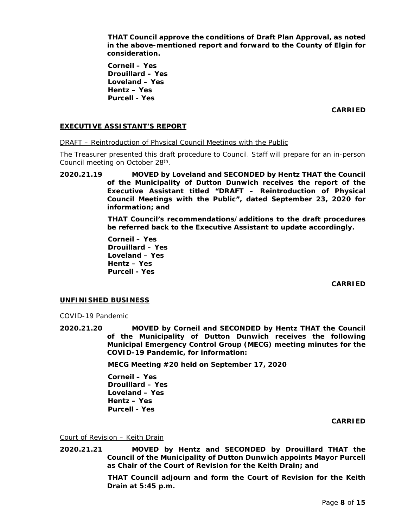**THAT Council approve the conditions of Draft Plan Approval, as noted in the above-mentioned report and forward to the County of Elgin for consideration.** 

**Corneil – Yes Drouillard – Yes Loveland – Yes Hentz – Yes Purcell - Yes**

**CARRIED**

## **EXECUTIVE ASSISTANT'S REPORT**

DRAFT – Reintroduction of Physical Council Meetings with the Public

The Treasurer presented this draft procedure to Council. Staff will prepare for an in-person Council meeting on October 28th.

**2020.21.19 MOVED by Loveland and SECONDED by Hentz THAT the Council of the Municipality of Dutton Dunwich receives the report of the Executive Assistant titled "DRAFT – Reintroduction of Physical Council Meetings with the Public", dated September 23, 2020 for information; and**

> **THAT Council's recommendations/additions to the draft procedures be referred back to the Executive Assistant to update accordingly.**

**Corneil – Yes Drouillard – Yes Loveland – Yes Hentz – Yes Purcell - Yes**

**CARRIED**

### **UNFINISHED BUSINESS**

#### COVID-19 Pandemic

**2020.21.20 MOVED by Corneil and SECONDED by Hentz THAT the Council of the Municipality of Dutton Dunwich receives the following Municipal Emergency Control Group (MECG) meeting minutes for the COVID-19 Pandemic, for information:**

**MECG Meeting #20 held on September 17, 2020**

**Corneil – Yes Drouillard – Yes Loveland – Yes Hentz – Yes Purcell - Yes**

**CARRIED**

Court of Revision – Keith Drain

**2020.21.21 MOVED by Hentz and SECONDED by Drouillard THAT the Council of the Municipality of Dutton Dunwich appoints Mayor Purcell as Chair of the Court of Revision for the Keith Drain; and**

> **THAT Council adjourn and form the Court of Revision for the Keith Drain at 5:45 p.m.**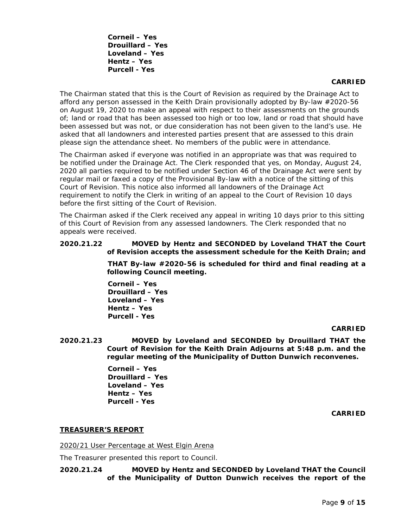**Corneil – Yes Drouillard – Yes Loveland – Yes Hentz – Yes Purcell - Yes**

#### **CARRIED**

The Chairman stated that this is the Court of Revision as required by the Drainage Act to afford any person assessed in the Keith Drain provisionally adopted by By-law #2020-56 on August 19, 2020 to make an appeal with respect to their assessments on the grounds of; land or road that has been assessed too high or too low, land or road that should have been assessed but was not, or due consideration has not been given to the land's use. He asked that all landowners and interested parties present that are assessed to this drain please sign the attendance sheet. No members of the public were in attendance.

The Chairman asked if everyone was notified in an appropriate was that was required to be notified under the Drainage Act. The Clerk responded that yes, on Monday, August 24, 2020 all parties required to be notified under Section 46 of the Drainage Act were sent by regular mail or faxed a copy of the Provisional By-law with a notice of the sitting of this Court of Revision. This notice also informed all landowners of the Drainage Act requirement to notify the Clerk in writing of an appeal to the Court of Revision 10 days before the first sitting of the Court of Revision.

The Chairman asked if the Clerk received any appeal in writing 10 days prior to this sitting of this Court of Revision from any assessed landowners. The Clerk responded that no appeals were received.

### **2020.21.22 MOVED by Hentz and SECONDED by Loveland THAT the Court of Revision accepts the assessment schedule for the Keith Drain; and**

**THAT By-law #2020-56 is scheduled for third and final reading at a following Council meeting.** 

**Corneil – Yes Drouillard – Yes Loveland – Yes Hentz – Yes Purcell - Yes**

### **CARRIED**

**2020.21.23 MOVED by Loveland and SECONDED by Drouillard THAT the Court of Revision for the Keith Drain Adjourns at 5:48 p.m. and the regular meeting of the Municipality of Dutton Dunwich reconvenes.**

> **Corneil – Yes Drouillard – Yes Loveland – Yes Hentz – Yes Purcell - Yes**

> > **CARRIED**

### **TREASURER'S REPORT**

2020/21 User Percentage at West Elgin Arena

The Treasurer presented this report to Council.

### **2020.21.24 MOVED by Hentz and SECONDED by Loveland THAT the Council of the Municipality of Dutton Dunwich receives the report of the**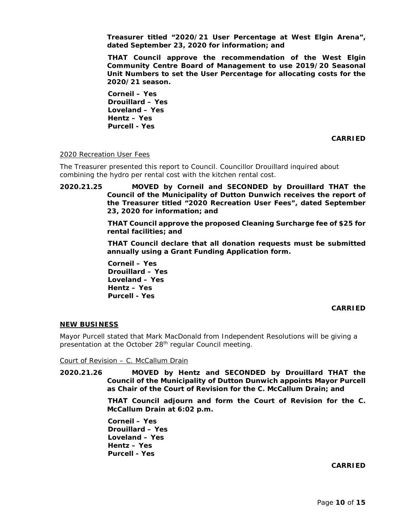**Treasurer titled "2020/21 User Percentage at West Elgin Arena", dated September 23, 2020 for information; and**

**THAT Council approve the recommendation of the West Elgin Community Centre Board of Management to use 2019/20 Seasonal Unit Numbers to set the User Percentage for allocating costs for the 2020/21 season.**

**Corneil – Yes Drouillard – Yes Loveland – Yes Hentz – Yes Purcell - Yes**

**CARRIED**

#### 2020 Recreation User Fees

The Treasurer presented this report to Council. Councillor Drouillard inquired about combining the hydro per rental cost with the kitchen rental cost.

**2020.21.25 MOVED by Corneil and SECONDED by Drouillard THAT the Council of the Municipality of Dutton Dunwich receives the report of the Treasurer titled "2020 Recreation User Fees", dated September 23, 2020 for information; and**

> **THAT Council approve the proposed Cleaning Surcharge fee of \$25 for rental facilities; and**

> **THAT Council declare that all donation requests must be submitted annually using a Grant Funding Application form.**

**Corneil – Yes Drouillard – Yes Loveland – Yes Hentz – Yes Purcell - Yes**

#### **CARRIED**

#### **NEW BUSINESS**

Mayor Purcell stated that Mark MacDonald from Independent Resolutions will be giving a presentation at the October 28<sup>th</sup> regular Council meeting.

Court of Revision – C. McCallum Drain

**2020.21.26 MOVED by Hentz and SECONDED by Drouillard THAT the Council of the Municipality of Dutton Dunwich appoints Mayor Purcell as Chair of the Court of Revision for the C. McCallum Drain; and**

> **THAT Council adjourn and form the Court of Revision for the C. McCallum Drain at 6:02 p.m.**

**Corneil – Yes Drouillard – Yes Loveland – Yes Hentz – Yes Purcell - Yes**

### **CARRIED**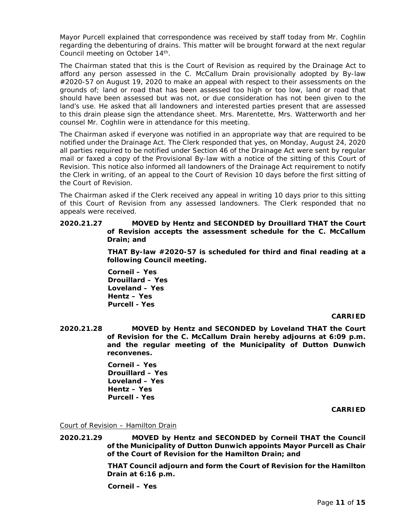Mayor Purcell explained that correspondence was received by staff today from Mr. Coghlin regarding the debenturing of drains. This matter will be brought forward at the next regular Council meeting on October 14<sup>th</sup>.

The Chairman stated that this is the Court of Revision as required by the Drainage Act to afford any person assessed in the C. McCallum Drain provisionally adopted by By-law #2020-57 on August 19, 2020 to make an appeal with respect to their assessments on the grounds of; land or road that has been assessed too high or too low, land or road that should have been assessed but was not, or due consideration has not been given to the land's use. He asked that all landowners and interested parties present that are assessed to this drain please sign the attendance sheet. Mrs. Marentette, Mrs. Watterworth and her counsel Mr. Coghlin were in attendance for this meeting.

The Chairman asked if everyone was notified in an appropriate way that are required to be notified under the Drainage Act. The Clerk responded that yes, on Monday, August 24, 2020 all parties required to be notified under Section 46 of the Drainage Act were sent by regular mail or faxed a copy of the Provisional By-law with a notice of the sitting of this Court of Revision. This notice also informed all landowners of the Drainage Act requirement to notify the Clerk in writing, of an appeal to the Court of Revision 10 days before the first sitting of the Court of Revision.

The Chairman asked if the Clerk received any appeal in writing 10 days prior to this sitting of this Court of Revision from any assessed landowners. The Clerk responded that no appeals were received.

**2020.21.27 MOVED by Hentz and SECONDED by Drouillard THAT the Court of Revision accepts the assessment schedule for the C. McCallum Drain; and**

> **THAT By-law #2020-57 is scheduled for third and final reading at a following Council meeting.**

**Corneil – Yes Drouillard – Yes Loveland – Yes Hentz – Yes Purcell - Yes**

### **CARRIED**

**2020.21.28 MOVED by Hentz and SECONDED by Loveland THAT the Court of Revision for the C. McCallum Drain hereby adjourns at 6:09 p.m. and the regular meeting of the Municipality of Dutton Dunwich reconvenes.**

> **Corneil – Yes Drouillard – Yes Loveland – Yes Hentz – Yes Purcell - Yes**

> > **CARRIED**

Court of Revision – Hamilton Drain

**2020.21.29 MOVED by Hentz and SECONDED by Corneil THAT the Council of the Municipality of Dutton Dunwich appoints Mayor Purcell as Chair of the Court of Revision for the Hamilton Drain; and**

> **THAT Council adjourn and form the Court of Revision for the Hamilton Drain at 6:16 p.m.**

**Corneil – Yes**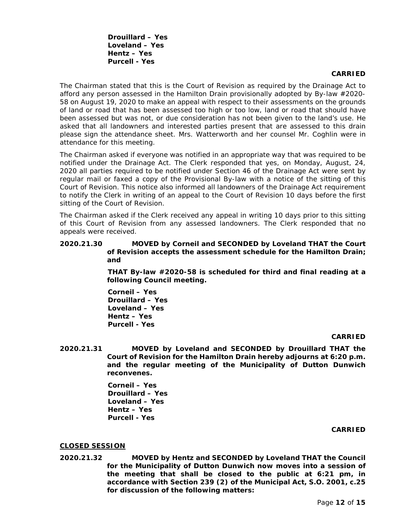**Drouillard – Yes Loveland – Yes Hentz – Yes Purcell - Yes**

### **CARRIED**

The Chairman stated that this is the Court of Revision as required by the Drainage Act to afford any person assessed in the Hamilton Drain provisionally adopted by By-law #2020- 58 on August 19, 2020 to make an appeal with respect to their assessments on the grounds of land or road that has been assessed too high or too low, land or road that should have been assessed but was not, or due consideration has not been given to the land's use. He asked that all landowners and interested parties present that are assessed to this drain please sign the attendance sheet. Mrs. Watterworth and her counsel Mr. Coghlin were in attendance for this meeting.

The Chairman asked if everyone was notified in an appropriate way that was required to be notified under the Drainage Act. The Clerk responded that yes, on Monday, August, 24, 2020 all parties required to be notified under Section 46 of the Drainage Act were sent by regular mail or faxed a copy of the Provisional By-law with a notice of the sitting of this Court of Revision. This notice also informed all landowners of the Drainage Act requirement to notify the Clerk in writing of an appeal to the Court of Revision 10 days before the first sitting of the Court of Revision.

The Chairman asked if the Clerk received any appeal in writing 10 days prior to this sitting of this Court of Revision from any assessed landowners. The Clerk responded that no appeals were received.

### **2020.21.30 MOVED by Corneil and SECONDED by Loveland THAT the Court of Revision accepts the assessment schedule for the Hamilton Drain; and**

**THAT By-law #2020-58 is scheduled for third and final reading at a following Council meeting.** 

**Corneil – Yes Drouillard – Yes Loveland – Yes Hentz – Yes Purcell - Yes**

#### **CARRIED**

**2020.21.31 MOVED by Loveland and SECONDED by Drouillard THAT the Court of Revision for the Hamilton Drain hereby adjourns at 6:20 p.m. and the regular meeting of the Municipality of Dutton Dunwich reconvenes.**

> **Corneil – Yes Drouillard – Yes Loveland – Yes Hentz – Yes Purcell - Yes**

#### **CARRIED**

### **CLOSED SESSION**

**2020.21.32 MOVED by Hentz and SECONDED by Loveland THAT the Council for the Municipality of Dutton Dunwich now moves into a session of the meeting that shall be closed to the public at 6:21 pm, in accordance with Section 239 (2) of the Municipal Act, S.O. 2001, c.25 for discussion of the following matters:**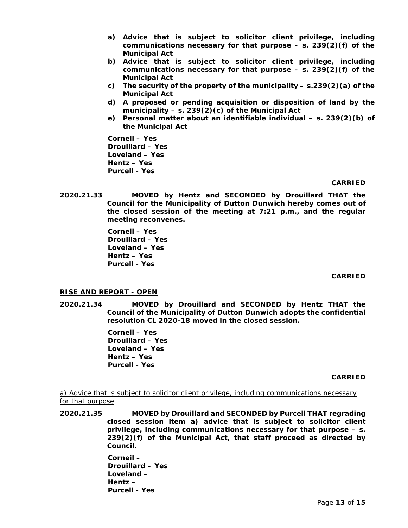- **a) Advice that is subject to solicitor client privilege, including communications necessary for that purpose – s. 239(2)(f) of the Municipal Act**
- **b) Advice that is subject to solicitor client privilege, including communications necessary for that purpose – s. 239(2)(f) of the Municipal Act**
- **c) The security of the property of the municipality – s.239(2)(a) of the Municipal Act**
- **d) A proposed or pending acquisition or disposition of land by the municipality – s. 239(2)(c) of the Municipal Act**
- **e) Personal matter about an identifiable individual – s. 239(2)(b) of the Municipal Act**

**Corneil – Yes Drouillard – Yes Loveland – Yes Hentz – Yes Purcell - Yes**

# **CARRIED**

**2020.21.33 MOVED by Hentz and SECONDED by Drouillard THAT the Council for the Municipality of Dutton Dunwich hereby comes out of the closed session of the meeting at 7:21 p.m., and the regular meeting reconvenes.**

> **Corneil – Yes Drouillard – Yes Loveland – Yes Hentz – Yes Purcell - Yes**

### **CARRIED**

# **RISE AND REPORT - OPEN**

**2020.21.34 MOVED by Drouillard and SECONDED by Hentz THAT the Council of the Municipality of Dutton Dunwich adopts the confidential resolution CL 2020-18 moved in the closed session.**

> **Corneil – Yes Drouillard – Yes Loveland – Yes Hentz – Yes Purcell - Yes**

### **CARRIED**

a) Advice that is subject to solicitor client privilege, including communications necessary for that purpose

**2020.21.35 MOVED by Drouillard and SECONDED by Purcell THAT regrading closed session item a) advice that is subject to solicitor client privilege, including communications necessary for that purpose – s. 239(2)(f) of the Municipal Act, that staff proceed as directed by Council.**

> **Corneil – Drouillard – Yes Loveland – Hentz – Purcell - Yes**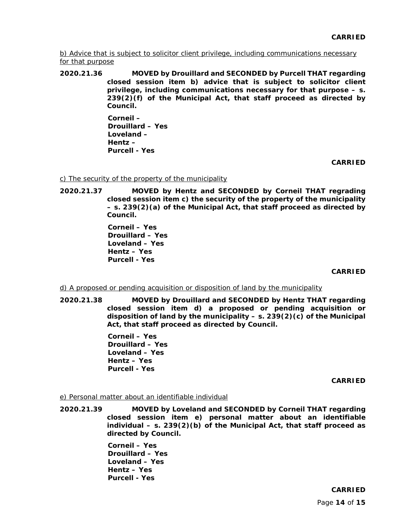b) Advice that is subject to solicitor client privilege, including communications necessary for that purpose

**2020.21.36 MOVED by Drouillard and SECONDED by Purcell THAT regarding closed session item b) advice that is subject to solicitor client privilege, including communications necessary for that purpose – s. 239(2)(f) of the Municipal Act, that staff proceed as directed by Council.** 

> **Corneil – Drouillard – Yes Loveland – Hentz – Purcell - Yes**

> > **CARRIED**

## c) The security of the property of the municipality

**2020.21.37 MOVED by Hentz and SECONDED by Corneil THAT regrading closed session item c) the security of the property of the municipality – s. 239(2)(a) of the Municipal Act, that staff proceed as directed by Council.**

> **Corneil – Yes Drouillard – Yes Loveland – Yes Hentz – Yes Purcell - Yes**

### **CARRIED**

### d) A proposed or pending acquisition or disposition of land by the municipality

**2020.21.38 MOVED by Drouillard and SECONDED by Hentz THAT regarding closed session item d) a proposed or pending acquisition or disposition of land by the municipality – s. 239(2)(c) of the Municipal Act, that staff proceed as directed by Council.** 

> **Corneil – Yes Drouillard – Yes Loveland – Yes Hentz – Yes Purcell - Yes**

### **CARRIED**

### e) Personal matter about an identifiable individual

**2020.21.39 MOVED by Loveland and SECONDED by Corneil THAT regarding closed session item e) personal matter about an identifiable individual – s. 239(2)(b) of the Municipal Act, that staff proceed as directed by Council.**

> **Corneil – Yes Drouillard – Yes Loveland – Yes Hentz – Yes Purcell - Yes**